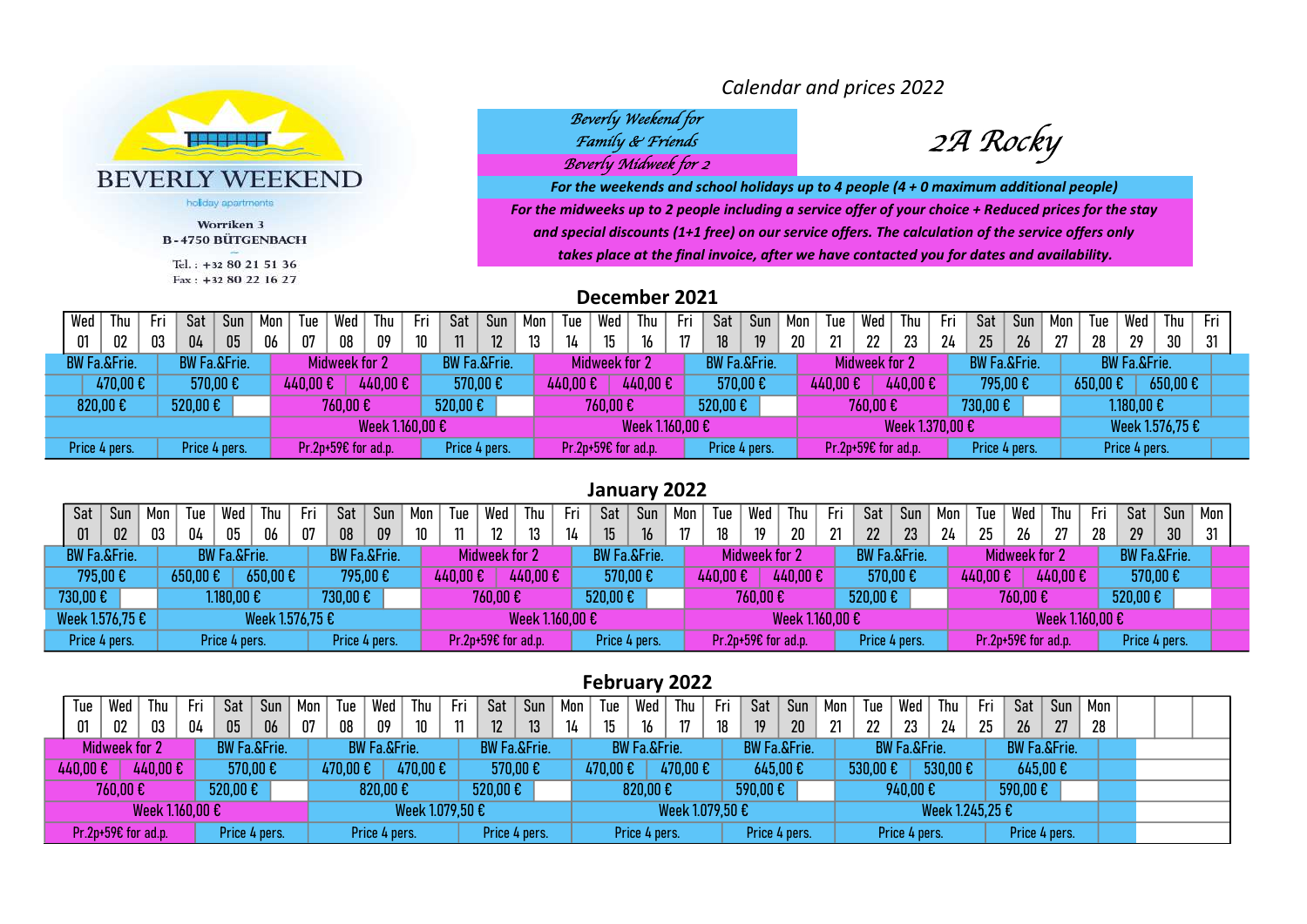

Worriken 3 **B-4750 BÜTGENBACH** Tel.: +32 80 21 51 36  $Fax: +32 80 22 16 27$ 

Calendar and prices 2022

# Beverly Weekend for<br>Family & Friends Beverly Midweek for 2

2A Rocky

For the midweeks up to 2 people including a service offer of your choice + Reduced prices for the stay and special discounts (1+1 free) on our service offers. The calculation of the service offers only takes place at the final invoice, after we have contacted you for dates and availability. For the weekends and school holidays up to 4 people (4 + 0 maximum additional people)

December 2021

| Wed                     | l hu               | Fri                     | Sat                         | Sun           | Mon | Tue      | Wed                   | Thu             | Fri | Sat                         | Sun | Mon | Tue     | Wed                  | Thu             | Fri | Sat                     | Sun | Mon | Tue     | Wed                 | Thu             | Fri | Sat                     | Sun | Mon | Tue     | Wed                     | Thu                   | Fri |  |
|-------------------------|--------------------|-------------------------|-----------------------------|---------------|-----|----------|-----------------------|-----------------|-----|-----------------------------|-----|-----|---------|----------------------|-----------------|-----|-------------------------|-----|-----|---------|---------------------|-----------------|-----|-------------------------|-----|-----|---------|-------------------------|-----------------------|-----|--|
| 01                      | 02                 | 03                      | 04                          | 05            | 06  | 07       | 08                    | 09              | 10  | 11                          | 12  | 13  | 14      | 15 <sup>15</sup>     | 16              | 17  | 18                      | 19  | 20  | 21      | 22                  | າາ              | 24  | 25                      | 26  | 27  | 28      | 29                      | 30                    | 31  |  |
| <b>BW Fa.&amp;Frie.</b> |                    | <b>BW Fa.&amp;Frie.</b> |                             |               |     |          | Midweek for 2         |                 |     | <b>BW Fa.&amp;Frie.</b>     |     |     |         | <b>Midweek for 2</b> |                 |     | <b>BW Fa.&amp;Frie.</b> |     |     |         | Midweek for 2       |                 |     | <b>BW Fa.&amp;Frie.</b> |     |     |         | <b>BW Fa.&amp;Frie.</b> |                       |     |  |
|                         | 470,00€<br>570,00€ |                         |                             |               |     | 440,00 € |                       | 440,00€         |     | 570,00€                     |     |     | 440,00€ |                      | 440,00€         |     | 570,00€                 |     |     | 440,00€ |                     | 440,00€         |     | 795,00€                 |     |     | 650,00€ |                         | $650,00 \text{ } \in$ |     |  |
| 820,00€                 |                    |                         | $520,00 \text{ }\mathsf{E}$ |               |     |          | 760,00€               |                 |     | $520,00 \text{ }\mathsf{E}$ |     |     |         | 760,00€              |                 |     | $520,00 \text{ E}$      |     |     |         | 760,00€             |                 |     | 730,00€                 |     |     |         | 1.180,00€               |                       |     |  |
|                         |                    |                         |                             |               |     |          |                       | Week 1.160,00 € |     |                             |     |     |         |                      | Week 1.160.00 € |     |                         |     |     |         |                     | Week 1.370.00 € |     |                         |     |     |         |                         | Week 1.576,75 €       |     |  |
| Price 4 pers.           |                    |                         |                             | Price 4 pers. |     |          | $Pr.2p+59€$ for ad.p. |                 |     | Price 4 pers.               |     |     |         | Pr.2p+59€ for ad.p.  |                 |     | Price 4 pers.           |     |     |         | Pr.2p+59€ for ad.p. |                 |     | Price 4 pers.           |     |     |         | Price 4 pers.           |                       |     |  |

#### January 2022

| Sat     | Sun                              | Mon | Tue     | Wed                     | Thu             | Fri | Sat                     | Sun | Mon | Tue      | Wed                  | Thu             | Fri | Sat                         | Sun           | Mon | Tue     | Wed                 | Thu             | Fri | Sat                     | Sur | Mon | Tue                        | Wed                 | Thu             | Fri | Sat                     | Sun             | Mon |
|---------|----------------------------------|-----|---------|-------------------------|-----------------|-----|-------------------------|-----|-----|----------|----------------------|-----------------|-----|-----------------------------|---------------|-----|---------|---------------------|-----------------|-----|-------------------------|-----|-----|----------------------------|---------------------|-----------------|-----|-------------------------|-----------------|-----|
| 01      | 02                               | 03  | 04      | 05                      | 06              | 07  | 08                      | 09  | 10  |          |                      | 13              | 14  |                             | 16            |     |         | 19                  | 20              | 21  | 22                      | າາ  | 24  | 25                         | 26                  | 27              | 28  | 29                      | 30 <sup>°</sup> | 31  |
|         | <b>BW Fa.&amp;Frie.</b>          |     |         | <b>BW Fa.&amp;Frie.</b> |                 |     | <b>BW Fa.&amp;Frie.</b> |     |     |          | <b>Midweek for 2</b> |                 |     | <b>BW Fa.&amp;Frie.</b>     |               |     |         | Midweek for 2       |                 |     | <b>BW Fa.&amp;Frie.</b> |     |     |                            | Midweek for 2       |                 |     | <b>BW Fa.&amp;Frie.</b> |                 |     |
|         | 795,00€                          |     | 650,00€ |                         | 650,00€         |     | 795,00€                 |     |     | 440,00 € |                      | 440,00€         |     |                             | 570,00€       |     | 440,00€ |                     | 440,00€         |     | 570,00€                 |     |     | $440,00 \text{ } \epsilon$ |                     | 440,00€         |     | $570,00$ $\varepsilon$  |                 |     |
| 730,00€ |                                  |     |         | 1.180,00€               |                 |     | 730,00€                 |     |     |          | 760,00€              |                 |     | $520,00 \text{ }\mathsf{E}$ |               |     |         | 760,00€             |                 |     | $520,00 \text{ E}$      |     |     |                            | 760,00€             |                 |     | 520,00€                 |                 |     |
|         |                                  |     |         |                         | Week 1.576,75 € |     |                         |     |     |          |                      | Week 1.160.00 € |     |                             |               |     |         |                     | Week 1.160,00 € |     |                         |     |     |                            |                     | Week 1.160,00 € |     |                         |                 |     |
|         | Week 1.576,75 €<br>Price 4 pers. |     |         | Price 4 pers.           |                 |     | Price 4 pers.           |     |     |          | Pr.2p+59€ for ad.p.  |                 |     |                             | Price 4 pers. |     |         | Pr.2p+59€ for ad.p. |                 |     | Price 4 pers.           |     |     |                            | Pr.2p+59€ for ad.p. |                 |     | Price 4 pers.           |                 |     |

#### February 2022

| Tue     | Wed                 | Thu             | -Fri | Sat                         | Sun           | Mon | Tue      | Wed                     | Thu             | Fri | Sat                         | Sun             | Mon | Tue     | Wed                     | Thu             | Fri | Sat                     | Sun | Mon | Tue     | Wed                     | Thu             | Fri | Sat                     | Sun | Mon |  |  |
|---------|---------------------|-----------------|------|-----------------------------|---------------|-----|----------|-------------------------|-----------------|-----|-----------------------------|-----------------|-----|---------|-------------------------|-----------------|-----|-------------------------|-----|-----|---------|-------------------------|-----------------|-----|-------------------------|-----|-----|--|--|
| 01      | $02\,$              | 03              | 04   | 05                          | 06            | 07  | 08       | 09                      | 10 <sup>°</sup> | 11  | 12                          | 13 <sup>°</sup> | 14  |         | 16                      | 17              | 18  |                         | 20  | 21  | 22      | 23                      | 24              | 25  | 26                      | 27  | 28  |  |  |
|         | Midweek for 2       |                 |      | <b>BW Fa.&amp;Frie.</b>     |               |     |          | <b>BW Fa.&amp;Frie.</b> |                 |     | <b>BW Fa.&amp;Frie.</b>     |                 |     |         | <b>BW Fa.&amp;Frie.</b> |                 |     | <b>BW Fa.&amp;Frie.</b> |     |     |         | <b>BW Fa.&amp;Frie.</b> |                 |     | <b>BW Fa.&amp;Frie.</b> |     |     |  |  |
| 440,00€ |                     | 440,00€         |      | 570,00€                     |               |     | 470,00 € |                         | 470,00€         |     | 570,00 €                    |                 |     | 470,00€ |                         | 470,00€         |     | 645,00€                 |     |     | 530,00€ |                         | 530,00€         |     | 645,00€                 |     |     |  |  |
|         | 760,00€             |                 |      | $520,00 \text{ }\mathsf{E}$ |               |     |          | 820,00€                 |                 |     | $520,00 \text{ }\mathsf{E}$ |                 |     |         | 820,00€                 |                 |     | 590,00€                 |     |     |         | 940,00€                 |                 |     | 590,00€                 |     |     |  |  |
|         |                     | Week 1.160,00 € |      |                             |               |     |          |                         | Week 1.079,50 € |     |                             |                 |     |         |                         | Week 1.079,50 € |     |                         |     |     |         |                         | Week 1.245,25 € |     |                         |     |     |  |  |
|         | Pr.2p+59€ for ad.p. |                 |      |                             | Price 4 pers. |     |          | Price 4 pers.           |                 |     | Price 4 pers.               |                 |     |         | Price 4 pers.           |                 |     | Price 4 pers.           |     |     |         | Price 4 pers.           |                 |     | Price 4 pers.           |     |     |  |  |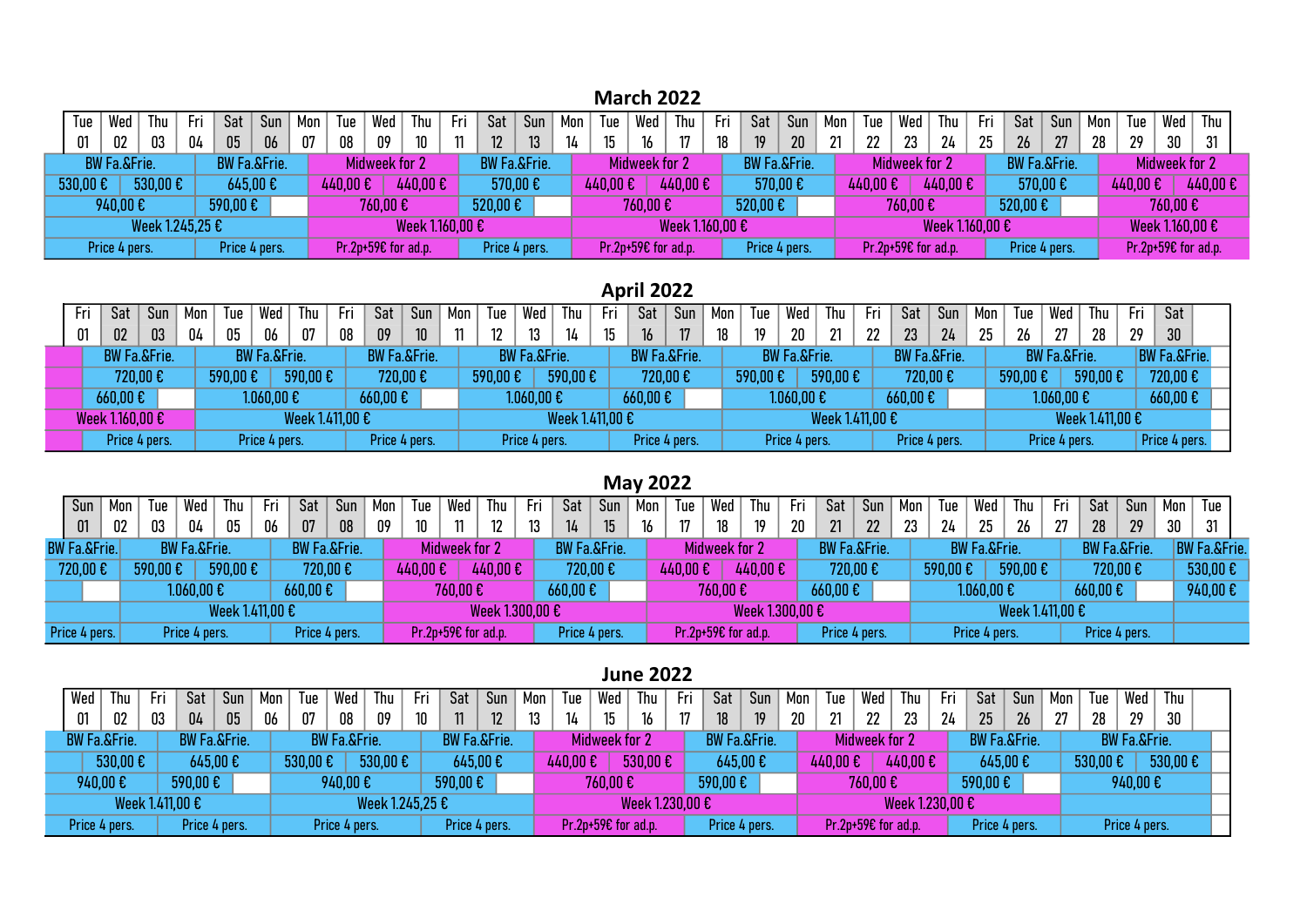### March 2022

| lue     |                         |                 | Thu     | -Fr | Sat           | Sun                     | Mon | lue     | Wed                 | Thu             | -Fri | Sat     | Sun                     | Mon | Tue     | Wed                 | Thu             | Fri | Sat                     | Sun             | Mon | Tue     | Wed                           | Thu                | -Fre | Sat                     | Sun | Mon . | Tue      | Wed                 | Thu     |
|---------|-------------------------|-----------------|---------|-----|---------------|-------------------------|-----|---------|---------------------|-----------------|------|---------|-------------------------|-----|---------|---------------------|-----------------|-----|-------------------------|-----------------|-----|---------|-------------------------------|--------------------|------|-------------------------|-----|-------|----------|---------------------|---------|
| 01      | 02                      |                 | 03      | 04  | 05            | 06                      | 07  | 08      | 09                  | 10              |      | 12      | 13                      |     | 15      | 16                  |                 | 18  | 19                      | 20 <sub>2</sub> | 21  | າາ      | 23                            | 24                 | クら   | 26                      | 27  | 28    | 29       | 30                  | 31      |
|         | <b>BW Fa.&amp;Frie.</b> |                 |         |     |               | <b>BW Fa.&amp;Frie.</b> |     |         | Midweek for 2       |                 |      |         | <b>BW Fa.&amp;Frie.</b> |     |         | Midweek for 2       |                 |     | <b>BW Fa.&amp;Frie.</b> |                 |     |         | Midweek for 2                 |                    |      | <b>BW Fa.&amp;Frie.</b> |     |       |          | Midweek for 2       |         |
| 530,006 |                         |                 | 530,00€ |     | 645,00€       |                         |     | 440,00€ |                     | 440,00€         |      |         | 570,00€                 |     | 440,00€ |                     | 440,00€         |     |                         | 570,00 €        |     | 440,00€ |                               | $440,00 \text{ E}$ |      | 570,00€                 |     |       | 440,00 € |                     | 440,00€ |
|         | 940,00€                 |                 |         |     | 590,00€       |                         |     |         | 760,00€             |                 |      | 520,00€ |                         |     |         | 760,00€             |                 |     | $520,00 \text{ E}$      |                 |     |         | 760,00€                       |                    |      | 520,00€                 |     |       |          | 760,00€             |         |
|         |                         | Week 1.245.25 € |         |     |               |                         |     |         |                     | Week 1.160.00 € |      |         |                         |     |         |                     | Week 1.160,00 € |     |                         |                 |     |         |                               | Week 1.160,00 €    |      |                         |     |       |          | Week 1.160,00 €     |         |
|         | Price 4 pers.           |                 |         |     | Price 4 pers. |                         |     |         | Pr.2p+59€ for ad.p. |                 |      |         | Price 4 pers.           |     |         | Pr.2p+59€ for ad.p. |                 |     | Price 4 pers.           |                 |     |         | Pr.2p+59 $\epsilon$ for ad.p. |                    |      | Price 4 pers.           |     |       |          | Pr.2p+59€ for ad.p. |         |

## April 2022

| Fri                                                                                                                    | Sat | Sun | Mon | Tue                     | Wed           | -Ihu            | Fri                     | Sat                   | Sun           | Mon | Tue                     | Wed                  | Thu             | -Fri                    | Sat     | Sun           | Mon    | Tue                     | Wed                     | Thu             | Fri                     | Sat                    | Sun           | Mon | Tue                     | Wed                  | Thu             | Fri                     | Sat                   |  |
|------------------------------------------------------------------------------------------------------------------------|-----|-----|-----|-------------------------|---------------|-----------------|-------------------------|-----------------------|---------------|-----|-------------------------|----------------------|-----------------|-------------------------|---------|---------------|--------|-------------------------|-------------------------|-----------------|-------------------------|------------------------|---------------|-----|-------------------------|----------------------|-----------------|-------------------------|-----------------------|--|
| 04<br>03<br>01<br><b>BW Fa.&amp;Frie.</b><br>720,00€<br>$660,00 \text{ }\mathbf{\epsilon}$<br>Week 1.160,00 $\epsilon$ |     | 05  | 06  | 07                      | 08            | 09              | 10                      | 11                    | 12            |     | 14                      |                      | 16              | 17                      | 18      | 19            | $20\,$ | 21                      | 22                      | 23              | 24                      | 25                     | 26            | 27  | 28                      | 29                   | 30 <sup>°</sup> |                         |                       |  |
|                                                                                                                        |     |     |     | <b>BW Fa.&amp;Frie.</b> |               |                 | <b>BW Fa.&amp;Frie.</b> |                       |               |     | <b>BW Fa.&amp;Frie.</b> |                      |                 | <b>BW Fa.&amp;Frie.</b> |         |               |        | <b>BW Fa.&amp;Frie.</b> |                         |                 | <b>BW Fa.&amp;Frie.</b> |                        |               |     | <b>BW Fa.&amp;Frie.</b> |                      |                 | <b>BW Fa.&amp;Frie.</b> |                       |  |
|                                                                                                                        |     |     |     | 590,00€                 |               | 590,00€         |                         | 720,00€               |               |     | 590,00€                 |                      | 590,00€         |                         |         | 720,00€       |        | 590,00€                 |                         | 590,00€         |                         |                        | 720,00€       |     | 590,00€                 |                      | 590,00€         |                         | 720,00€               |  |
|                                                                                                                        |     |     |     |                         | 0.060, 000    |                 |                         | $660,00 \text{ } \in$ |               |     |                         | $1.060,00 \text{ }€$ |                 |                         | 660,00€ |               |        |                         | $1.060,00 \text{ } \in$ |                 |                         | $660,00$ $\varepsilon$ |               |     |                         | $1.060,00 \text{ }€$ |                 |                         | $660,00 \text{ } \in$ |  |
|                                                                                                                        |     |     |     |                         |               | Week 1.411,00 € |                         |                       |               |     |                         |                      | Week 1.411.00 € |                         |         |               |        |                         |                         | Week 1.411,00 € |                         |                        |               |     |                         |                      | Week 1.411,00 € |                         |                       |  |
| Price 4 pers.                                                                                                          |     |     |     |                         | Price 4 pers. |                 |                         |                       | Price 4 pers. |     |                         | Price 4 pers.        |                 |                         |         | Price 4 pers. |        |                         | Price 4 pers.           |                 |                         |                        | Price 4 pers. |     |                         | Price 4 pers.        |                 |                         | Price 4 pers.         |  |

### May 2022

| Sun<br>01<br>02<br><b>BW Fa.&amp;Frie.</b> |  | Tue     | Wed                     | 1hu             | Fri | Sat                     | Sun           | Mon | Tue     | Wed                 | Thu             | Fri | Sat                        | Sun |    | Tue      | Wed                  | Thu             | Fri | Sat                                | Sun           | Mon | Tue     | Wed                     | $T$ hu          | Fri | Sat                | Sun                     | Mon | Tue                         |  |
|--------------------------------------------|--|---------|-------------------------|-----------------|-----|-------------------------|---------------|-----|---------|---------------------|-----------------|-----|----------------------------|-----|----|----------|----------------------|-----------------|-----|------------------------------------|---------------|-----|---------|-------------------------|-----------------|-----|--------------------|-------------------------|-----|-----------------------------|--|
|                                            |  | 03      | 04                      | 05              | 06  | 07                      | 08            | 09  | 10      |                     |                 | 12  | 14                         | 15  | 16 |          |                      | 19              | 20  | 21                                 | 22            | າາ  | 24      | 25                      | 26              | 27  | 28                 | 29                      | 30  | 31                          |  |
|                                            |  |         | <b>BW Fa.&amp;Frie.</b> |                 |     | <b>BW Fa.&amp;Frie.</b> |               |     |         | Midweek for 2       |                 |     | <b>BW Fa.&amp;Frie.</b>    |     |    |          | <b>Midweek for 2</b> |                 |     | <b>BW Fa.&amp;Frie.</b>            |               |     |         | <b>BW Fa.&amp;Frie.</b> |                 |     |                    | <b>BW Fa.&amp;Frie.</b> |     | <b>BW Fa.&amp;Frie.</b>     |  |
| 720,00€                                    |  | 590,00€ |                         | 590,00€         |     | 720,00€                 |               |     | 440,00€ |                     | 440,00€         |     | 720,00€                    |     |    | 440,00 € |                      | 440,00€         |     |                                    | 720,00€       |     | 590,00€ |                         | 590,00€         |     |                    | 720,00€                 |     | $530,00 \text{ }\mathsf{E}$ |  |
|                                            |  |         | $1.060,00 \text{ E}$    |                 |     | $660,00 \text{ } \in$   |               |     |         | 760.00€             |                 |     | $660,00 \text{ } \epsilon$ |     |    |          | 760.00€              |                 |     | $660,00 \text{ }\mathbf{\epsilon}$ |               |     |         | $1.060,00 \in \}$       |                 |     | $660,00 \text{ E}$ |                         |     | $940,00$ $\varepsilon$      |  |
|                                            |  |         |                         | Week 1.411.00 € |     |                         |               |     |         |                     | Week 1.300,00 € |     |                            |     |    |          |                      | Week 1.300,00 € |     |                                    |               |     |         |                         | Week 1.411,00 € |     |                    |                         |     |                             |  |
| Price 4 pers.                              |  |         | Price 4 pers.           |                 |     |                         | Price 4 pers. |     |         | Pr.2p+59€ for ad.p. |                 |     | Price 4 pers.              |     |    |          | Pr.2p+59€ for ad.p.  |                 |     |                                    | Price 4 pers. |     |         | Price 4 pers.           |                 |     |                    | Price 4 pers.           |     |                             |  |

#### June 2022

| Wed     | Thu                     | Fri             | Sat                     | Sun           | Mon | lue                        | Wed                     | Thu             | -Fr             | Sat                     | Sun | Mon | Tue     | Wed                   | Thu             | Fri | Sat                         | Sun             | Mon | Tue      | Wed                 | Thu             | - Fri | Sat                        | Sun | Mon | Tue     | Wed                     | Thu               |  |
|---------|-------------------------|-----------------|-------------------------|---------------|-----|----------------------------|-------------------------|-----------------|-----------------|-------------------------|-----|-----|---------|-----------------------|-----------------|-----|-----------------------------|-----------------|-----|----------|---------------------|-----------------|-------|----------------------------|-----|-----|---------|-------------------------|-------------------|--|
| 01      | 02                      | 03              | 04                      | 05            | 06  | 07                         | $08\,$                  | 09              | 10 <sup>°</sup> | 11                      | 12  |     | 14      | 15                    | 16              | 17  | 18                          | 19 <sup>°</sup> | 20  | 21       | 22                  | 23              | 24    | 25                         | 26  | 27  | 28      | 29                      | 30                |  |
|         | <b>BW Fa.&amp;Frie.</b> |                 | <b>BW Fa.&amp;Frie.</b> |               |     |                            | <b>BW Fa.&amp;Frie.</b> |                 |                 | <b>BW Fa.&amp;Frie.</b> |     |     |         | <b>Midweek for 2</b>  |                 |     | <b>BW Fa.&amp;Frie.</b>     |                 |     |          | Midweek for 2       |                 |       | <b>BW Fa.&amp;Frie.</b>    |     |     |         | <b>BW Fa.&amp;Frie.</b> |                   |  |
|         | 530,00€                 |                 | 645,00€                 |               |     | $530,00 \text{ } \epsilon$ |                         | 530,00€         |                 | 645,00E                 |     |     | 440,00€ |                       | 530,00€         |     | 645,00€                     |                 |     | 440,00 € |                     | 440,00€         |       | $645,00 \text{ } \epsilon$ |     |     | 530,00€ |                         | 530,00 $\epsilon$ |  |
| 940,00€ |                         |                 | 590,00€                 |               |     |                            | 940,00€                 |                 |                 | 590,00€                 |     |     |         | 760,00€               |                 |     | $590,00 \text{ }\mathsf{E}$ |                 |     |          | 760,00€             |                 |       | 590,00€                    |     |     |         | 940,00€                 |                   |  |
|         |                         | Week 1.411,00 € |                         |               |     |                            |                         | Week 1.245,25 € |                 |                         |     |     |         |                       | Week 1.230,00 € |     |                             |                 |     |          |                     | Week 1.230,00 € |       |                            |     |     |         |                         |                   |  |
|         | Price 4 pers.           |                 |                         | Price 4 pers. |     |                            | Price 4 pers.           |                 |                 | Price 4 pers.           |     |     |         | $Pr.2p+59E$ for ad.p. |                 |     | Price 4 pers.               |                 |     |          | Pr.2p+59€ for ad.p. |                 |       | Price 4 pers.              |     |     |         | Price 4 pers.           |                   |  |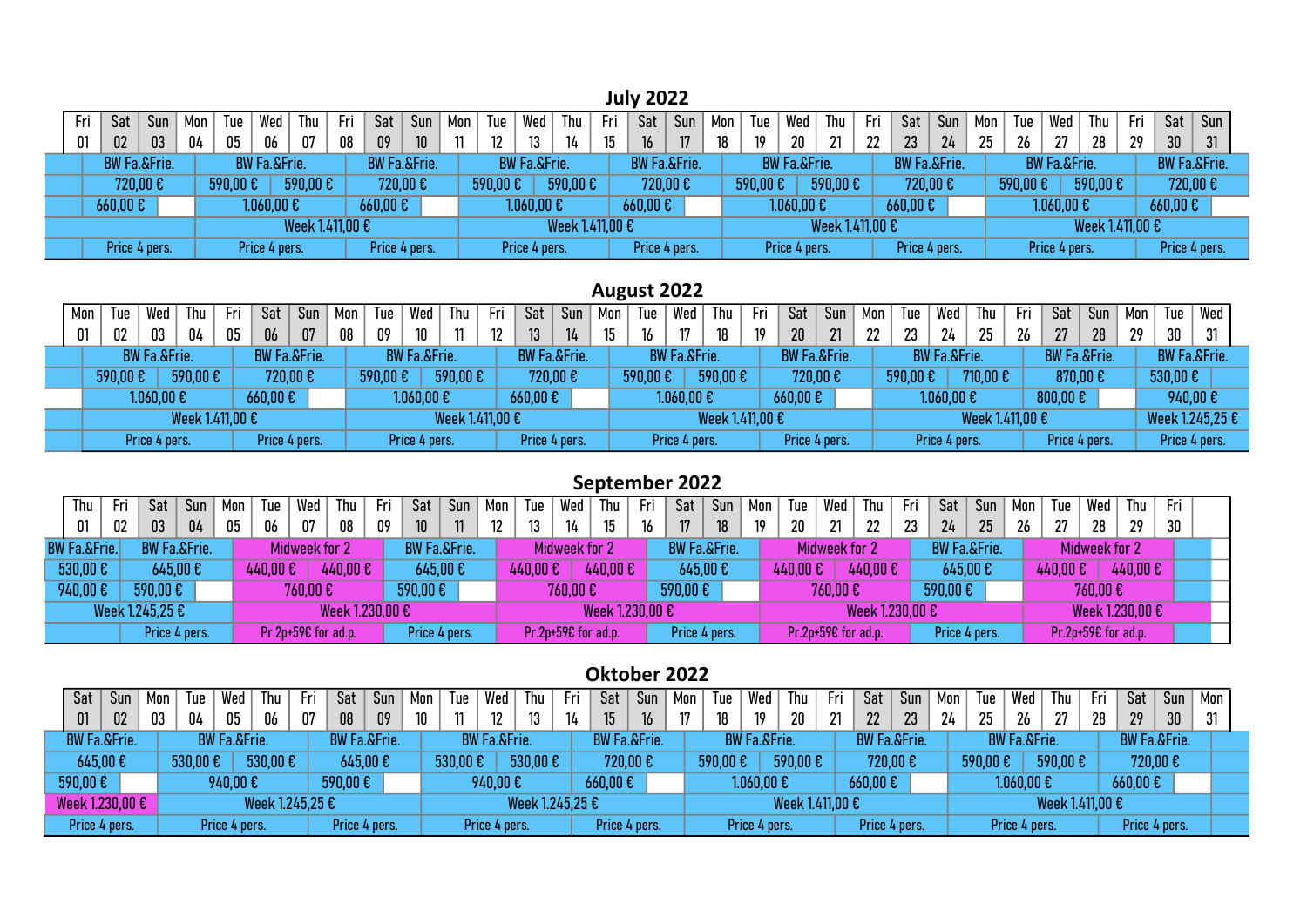July 2022

| Fri           | Sat | Sun                     | Mon | Tue           | Wed                     | Thu             | Fri | Sat                                | Sun             | Mon | Tue           | Wed                     | Thu             | Fri | Sat                     | 'Sun | Mon | Tue           | Wed                     | Thu             | Fri           | Sat                     | Sun | Mon | Tue           | Wed                     | Thu             | Fri           | Sat                     | Sun |
|---------------|-----|-------------------------|-----|---------------|-------------------------|-----------------|-----|------------------------------------|-----------------|-----|---------------|-------------------------|-----------------|-----|-------------------------|------|-----|---------------|-------------------------|-----------------|---------------|-------------------------|-----|-----|---------------|-------------------------|-----------------|---------------|-------------------------|-----|
| 01            | 02  | 03                      | 04  | 05            | 06                      | 07              | 08  | 09                                 | 10 <sup>°</sup> |     | 12            | 13                      | 14              | 15  | 16                      | 17   | 18  | 19            | 20                      | 21              | 22            | 23                      | 24  | 25  | 26            | 27                      | 28              | 29            | 30                      | 31  |
|               |     | <b>BW Fa.&amp;Frie.</b> |     |               | <b>BW Fa.&amp;Frie.</b> |                 |     | <b>BW Fa.&amp;Frie.</b>            |                 |     |               | <b>BW Fa.&amp;Frie.</b> |                 |     | <b>BW Fa.&amp;Frie.</b> |      |     |               | <b>BW Fa.&amp;Frie.</b> |                 |               | <b>BW Fa.&amp;Frie.</b> |     |     |               | <b>BW Fa.&amp;Frie.</b> |                 |               | <b>BW Fa.&amp;Frie.</b> |     |
| 720,00 €      |     |                         |     | 590,00 €      |                         | 590,00€         |     |                                    | 720,00€         |     | 590,00€       |                         | 590,00€         |     | 720,00€                 |      |     | 590,00€       |                         | 590,00€         |               | 720,00€                 |     |     | 590,00€       |                         | 590,00€         |               | 720,00 €                |     |
| 660,00€       |     |                         |     |               | $1.060,00 \text{ }€$    |                 |     | $660,00 \text{ }\mathbf{\epsilon}$ |                 |     |               | $1.060,00 \text{ €}$    |                 |     | 660,00€                 |      |     |               | $1.060,00 \text{ }€$    |                 |               | 660,00€                 |     |     |               | $1.060,00 \text{ } \in$ |                 |               | $660,00 \text{ } \in$   |     |
|               |     |                         |     |               |                         | Week 1.411,00 € |     |                                    |                 |     |               |                         | Week 1.411,00 € |     |                         |      |     |               |                         | Week 1.411,00 € |               |                         |     |     |               |                         | Week 1.411,00 € |               |                         |     |
| Price 4 pers. |     |                         |     | Price 4 pers. |                         |                 |     | Price 4 pers.                      |                 |     | Price 4 pers. |                         |                 |     | Price 4 pers.           |      |     | Price 4 pers. |                         |                 | Price 4 pers. |                         |     |     | Price 4 pers. |                         |                 | Price 4 pers. |                         |     |

### August 2022

| Wed<br>Mon<br>Tue<br>01<br>02<br>03<br><b>BW Fa.&amp;Frie.</b><br>590,00€<br>$1.060,00 \text{ }€$ |  | Thu           | Fri             | Sat | Sun                     | Mon           | Tue | Wed     | Thu                     | Fri             | Sat             | Sur                     | Mon           | Tue              | Wed     | Thu                     | Fri             | Sat | Sun             | Mon                     | Tue | Wed     | hu                      | Fri             | Sat | Sun                                | Mon | Tue | Wed                     |                 |  |
|---------------------------------------------------------------------------------------------------|--|---------------|-----------------|-----|-------------------------|---------------|-----|---------|-------------------------|-----------------|-----------------|-------------------------|---------------|------------------|---------|-------------------------|-----------------|-----|-----------------|-------------------------|-----|---------|-------------------------|-----------------|-----|------------------------------------|-----|-----|-------------------------|-----------------|--|
|                                                                                                   |  |               | 04              |     | 06                      | 07            | 08  | 09      | 10                      | 11              | 12 <sup>2</sup> | 13                      |               | 15 <sup>15</sup> | 16      | 17                      | 18              | 19  | 20 <sub>2</sub> | 21                      | າາ  | 23      | 24                      | 25              | 26  | 27                                 | 28  | 29  | 30                      | 31              |  |
|                                                                                                   |  |               |                 |     | <b>BW Fa.&amp;Frie.</b> |               |     |         | <b>BW Fa.&amp;Frie.</b> |                 |                 | <b>BW Fa.&amp;Frie.</b> |               |                  |         | <b>BW Fa.&amp;Frie.</b> |                 |     |                 | <b>BW Fa.&amp;Frie.</b> |     |         | <b>BW Fa.&amp;Frie.</b> |                 |     | <b>BW Fa.&amp;Frie.</b>            |     |     | <b>BW Fa.&amp;Frie.</b> |                 |  |
|                                                                                                   |  |               | 590,00€         |     |                         | 720,00€       |     | 590,00€ |                         | 590,00€         |                 | 720,00€                 |               |                  | 590,00€ |                         | 590,00€         |     |                 | 720,00€                 |     | 590,00€ |                         | 710,00€         |     | 870,00€                            |     |     | 530,00€                 |                 |  |
|                                                                                                   |  |               |                 |     | 660,00€                 |               |     |         | $1.060,00 \text{ } \in$ |                 |                 | $660,00$ €              |               |                  |         | $1.060,00 \text{ }€$    |                 |     | 660,00€         |                         |     |         | $1.060,00 \text{ }€$    |                 |     | $800,00 \text{ }\mathbf{\epsilon}$ |     |     | 940,00€                 |                 |  |
|                                                                                                   |  |               | Week 1.411.00 € |     |                         |               |     |         |                         | Week 1.411,00 € |                 |                         |               |                  |         |                         | Week 1.411,00 € |     |                 |                         |     |         |                         | Week 1.411,00 € |     |                                    |     |     |                         | Week 1.245,25 € |  |
|                                                                                                   |  | Price 4 pers. |                 |     |                         | Price 4 pers. |     |         | Price 4 pers.           |                 |                 |                         | Price 4 pers. |                  |         | Price 4 pers.           |                 |     |                 | Price 4 pers.           |     |         | Price 4 pers.           |                 |     | Price 4 pers.                      |     |     | Price 4 pers.           |                 |  |

## September 2022

| Thu<br>- Fri<br>01<br>02<br><b>BW Fa.&amp;Frie.</b><br>530,00€<br>940,00€    |  | Sat           | Sun | Mon | Tue      | Wed                 | Thu             | Fri             | Sat                     | Sun | Mon | Tue     | Wed                 | Thu             | Fri | Sat                     | Sun | Mon | Tue     | Wed                 | Thu             | Fri | Sat                     | Sun | Mon | Tue     | Wed                  | Thu             | Fri |  |
|------------------------------------------------------------------------------|--|---------------|-----|-----|----------|---------------------|-----------------|-----------------|-------------------------|-----|-----|---------|---------------------|-----------------|-----|-------------------------|-----|-----|---------|---------------------|-----------------|-----|-------------------------|-----|-----|---------|----------------------|-----------------|-----|--|
| 03<br>04<br><b>BW Fa.&amp;Frie.</b><br>645,00€<br>590,00€<br>Week 1.245,25 € |  |               | 05  | 06  | 07       | 08                  | 09              | 10 <sup>1</sup> | 11                      | 12  |     | 14      | 15                  | 16              | 17  | 18                      |     | 20  | 21      | 22                  |                 | 24  | 25                      | 26  | ባ7  | 28      | 29                   | 30              |     |  |
|                                                                              |  |               |     |     |          | Midweek for 2       |                 |                 | <b>BW Fa.&amp;Frie.</b> |     |     |         | Midweek for 2       |                 |     | <b>BW Fa.&amp;Frie.</b> |     |     |         | Midweek for 2       |                 |     | <b>BW Fa.&amp;Frie.</b> |     |     |         | <b>Midweek for 2</b> |                 |     |  |
|                                                                              |  |               |     |     | 440,00 € |                     | 440,00€         |                 | 645,00€                 |     |     | 440,00€ |                     | 440,00€         |     | 645,00€                 |     |     | 440,00€ |                     | 440,00€         |     | 645,00€                 |     |     | 440,00€ |                      | 440,00€         |     |  |
|                                                                              |  |               |     |     |          | 760,00€             |                 |                 | 590,00€                 |     |     |         | 760.00€             |                 |     | 590,00€                 |     |     |         | 760,00€             |                 |     | 590,00€                 |     |     |         | 760,00€              |                 |     |  |
|                                                                              |  |               |     |     |          |                     | Week 1.230,00 € |                 |                         |     |     |         |                     | Week 1.230,00 € |     |                         |     |     |         |                     | Week 1.230.00 € |     |                         |     |     |         |                      | Week 1.230,00 € |     |  |
|                                                                              |  | Price 4 pers. |     |     |          | Pr.2p+59€ for ad.p. |                 |                 | Price 4 pers.           |     |     |         | Pr.2p+59€ for ad.p. |                 |     | Price 4 pers.           |     |     |         | Pr.2p+59€ for ad.p. |                 |     | Price 4 pers.           |     |     |         | Pr.2p+59€ for ad.p.  |                 |     |  |

#### Oktober 2022

| Sat     | Sur                                       | Mon | Tue        | Wed                     | Thu             | Fri | Sat                     | Sun | Mon | Tue      | Wed                     | Thu             | Fri | Sat                                | Sun           | Mon | Tue     | Wed                     | Thu             | Fri | Sat                     | Sun | Mon | lue     | Wed                     | Thu             | - -<br>-Fr' | Sat                     | Sun | Mon |
|---------|-------------------------------------------|-----|------------|-------------------------|-----------------|-----|-------------------------|-----|-----|----------|-------------------------|-----------------|-----|------------------------------------|---------------|-----|---------|-------------------------|-----------------|-----|-------------------------|-----|-----|---------|-------------------------|-----------------|-------------|-------------------------|-----|-----|
| 01      | 02                                        | 03  | 04         | 05                      | 06              | 07  | 08                      | 09  | 10  | 11       | 12 <sup>°</sup>         | 13              | 14  | 15 <sup>15</sup>                   | 16            |     |         | 19                      | 20              | 21  | 22                      | າາ  | 24  | 25      | 26                      | 27              | 28          | 29                      | 30  | 31  |
|         | <b>BW Fa.&amp;Frie.</b>                   |     |            | <b>BW Fa.&amp;Frie.</b> |                 |     | <b>BW Fa.&amp;Frie.</b> |     |     |          | <b>BW Fa.&amp;Frie.</b> |                 |     | <b>BW Fa.&amp;Frie.</b>            |               |     |         | <b>BW Fa.&amp;Frie.</b> |                 |     | <b>BW Fa.&amp;Frie.</b> |     |     |         | <b>BW Fa.&amp;Frie.</b> |                 |             | <b>BW Fa.&amp;Frie.</b> |     |     |
|         | $645,00$ €                                |     | $530,00$ € |                         | 530,00€         |     | 645,00€                 |     |     | 530,00 € |                         | 530,00€         |     |                                    | 720,00€       |     | 590,00€ |                         | 590,00€         |     | 720,00€                 |     |     | 590,00€ |                         | 590,00€         |             | 720,00€                 |     |     |
| 590,00€ |                                           |     |            | 940,00€                 |                 |     | 590,00€                 |     |     |          | 940,00€                 |                 |     | $660,00 \text{ }\mathbf{\epsilon}$ |               |     |         | $1.060,00 \; \text{E}$  |                 |     | $660,00 \text{ E}$      |     |     |         | $1.060,00 \in \}$       |                 |             | $660,00 \text{ } \in$   |     |     |
|         |                                           |     |            |                         | Week 1.245,25 € |     |                         |     |     |          |                         | Week 1.245,25 € |     |                                    |               |     |         |                         | Week 1.411,00 € |     |                         |     |     |         |                         | Week 1.411,00 € |             |                         |     |     |
|         | Week 1.230,00 $\epsilon$<br>Price 4 pers. |     |            | Price 4 pers.           |                 |     | Price 4 pers.           |     |     |          | Price 4 pers.           |                 |     |                                    | Price 4 pers. |     |         | Price 4 pers.           |                 |     | Price 4 pers.           |     |     |         | Price 4 pers.           |                 |             | Price 4 pers.           |     |     |